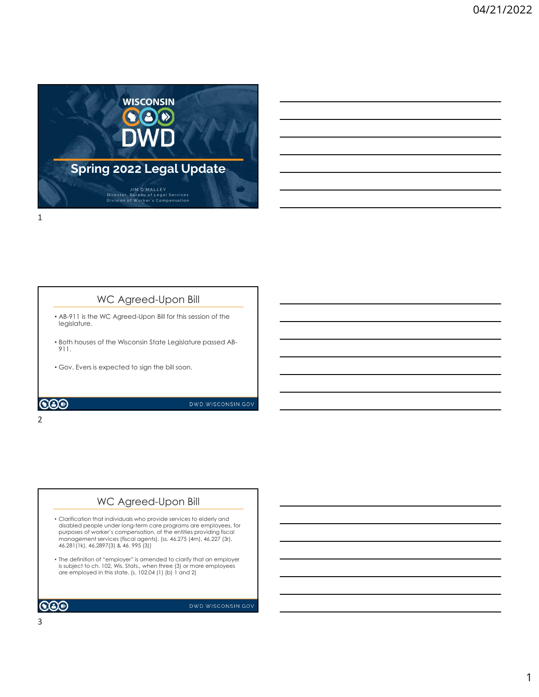

### WC Agreed-Upon Bill

- AB-911 is the WC Agreed-Upon Bill for this session of the legislature.
- Both houses of the Wisconsin State Legislature passed AB-911.
- Gov. Evers is expected to sign the bill soon.

2 and 2 and 2 and 2 and 2 and 2 and 2 and 2 and 2 and 2 and 2 and 2 and 2 and 2 and 2 and 2 and 2 and 2 and 2

### WC Agreed-Upon Bill

- Clarification that individuals who provide services to elderly and disabled people under long-term care programs are employees, for purposes of worker's compensation, of the entities providing fiscal management services (fiscal agents). (ss. 46.275 (4m), 46.227 (3r), 46.281(1k), 46.2897(3) & 46. 995 (3)) Figure 1.102, Wis. Stats., when the charged a process of the viscons of the bill soon.<br>
The charged and the charged and the bill soon.<br>
The charged and the charged and the charged and the charged and the charged and the ch
- The definition of "employer" is amended to clarify that an employer  $\qquad \qquad \qquad$ are employed in this state. (s. 102.04 (1) (b) 1 and 2)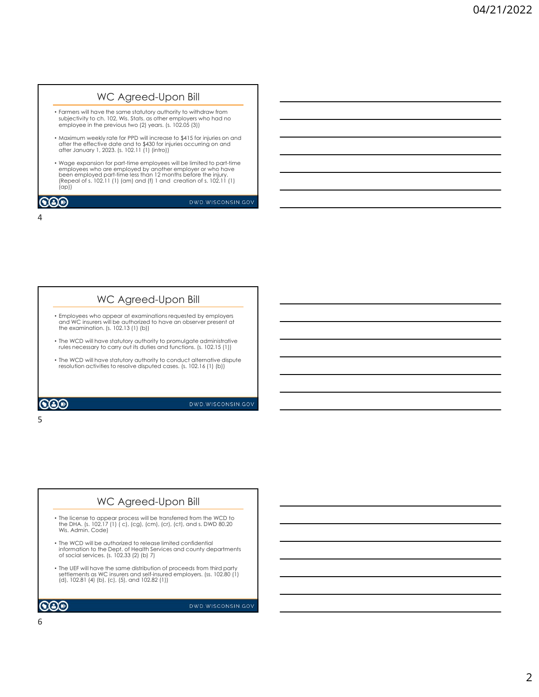# • Farmers will have the same statutory authority to withdraw from WC Agreed-Upon Bill<br>Farmers will have the same statutory authority to withdraw from<br>subjectivity to ch. 102, wis. Stats. as other employers who had no<br>employee in the previous two (2) years, {s, 102,05 (3)]<br>differ the effe employee in the previous two (2) years. (s. 102.05 (3)) WC Agreed-Upon Bill

- Maximum weekly rate for PPD will increase to \$415 for injuries on and after the effective date and to \$430 for injuries occurring on and after January 1, 2023. (s. 102.11 (1) (intro))
- Wage expansion for part-time employees will be limited to part-time employees who are employed by another employer or who have been employed part-time less than 12 months before the injury. (Repeal of s. 102.11 (1) (am) and (f) 1 and creation of s. 102.11 (1) (ap)) (ap))

4

 $5<sub>5</sub>$ 

 $\bigcircledS$ 

DWD.WISCONSIN.GOV

### • Employees who appear at examinations requested by employers and WC insurers will be authorized to have an observer present at the examination. (s. 102.13 (1) (b)) WC Agreed-Upon Bill

- The WCD will have statutory authority to promulgate administrative rules necessary to carry out its duties and functions. (s. 102.15 (1))
- The WCD will have statutory authority to conduct alternative dispute resolution activities to resolve disputed cases. (s. 102.16 (1) (b))

 $\odot$ 

DWD.WISCONSIN.GOV

### WC Agreed-Upon Bill

- The license to appear process will be transferred from the WCD to<br>the DHA. (s. 102.17 (1) ( c), (cg), (cm), (cr), (ct), and s. DWD 80.20<br>Wis. Admin. Code)
- The WCD will be authorized to release limited confidential<br>information to the Dept. of Health Services and county departments<br>of social services. (s. 102.33 (2) (b) 7)
- The UEF will have the same distribution of proceeds from third party settlements as WC insurers and self-insured employers. (ss. 102.80 (1) (d), 102.81 (4) (b), (c), (5), and 102.82 (1))



DWD.WISCONSIN.GOV